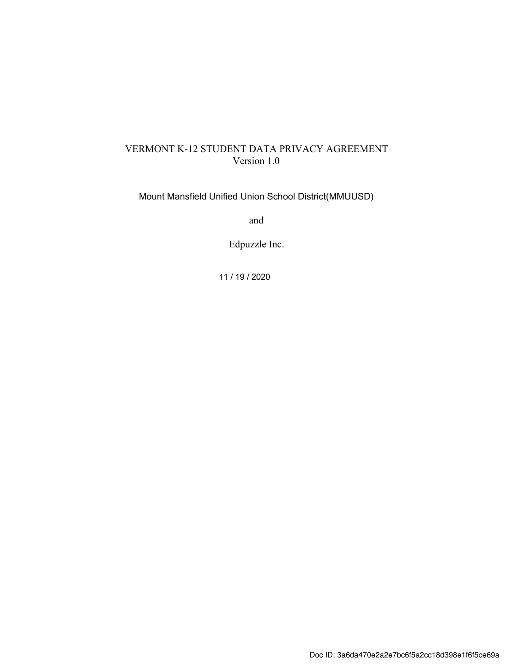# VERMONT K-12 STUDENT DATA PRIVACY AGREEMENT Version 1.0

Mount Mansfield Unified Union School District(MMUUSD)

and

Edpuzzle Inc.

11 / 19 / 2020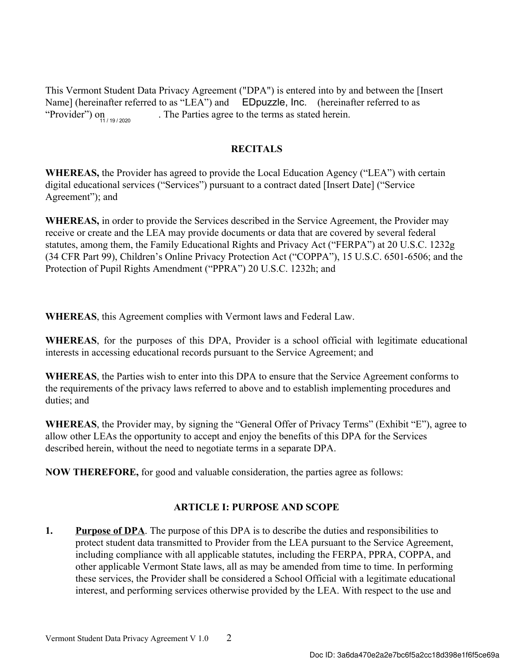This Vermont Student Data Privacy Agreement ("DPA") is entered into by and between the [Insert Name] (hereinafter referred to as "LEA") and EDpuzzle, Inc. (hereinafter referred to as . The Parties agree to the terms as stated herein. "Provider") on

## RECITALS

WHEREAS, the Provider has agreed to provide the Local Education Agency ("LEA") with certain digital educational services ("Services") pursuant to a contract dated [Insert Date] ("Service Agreement"); and

WHEREAS, in order to provide the Services described in the Service Agreement, the Provider may receive or create and the LEA may provide documents or data that are covered by several federal statutes, among them, the Family Educational Rights and Privacy Act ("FERPA") at 20 U.S.C. 1232g (34 CFR Part 99), Children's Online Privacy Protection Act ("COPPA"), 15 U.S.C. 6501-6506; and the Protection of Pupil Rights Amendment ("PPRA") 20 U.S.C. 1232h; and

WHEREAS, this Agreement complies with Vermont laws and Federal Law.

WHEREAS, for the purposes of this DPA, Provider is a school official with legitimate educational interests in accessing educational records pursuant to the Service Agreement; and

WHEREAS, the Parties wish to enter into this DPA to ensure that the Service Agreement conforms to the requirements of the privacy laws referred to above and to establish implementing procedures and duties; and

WHEREAS, the Provider may, by signing the "General Offer of Privacy Terms" (Exhibit "E"), agree to allow other LEAs the opportunity to accept and enjoy the benefits of this DPA for the Services described herein, without the need to negotiate terms in a separate DPA.

NOW THEREFORE, for good and valuable consideration, the parties agree as follows:

# ARTICLE I: PURPOSE AND SCOPE

1. Purpose of DPA. The purpose of this DPA is to describe the duties and responsibilities to protect student data transmitted to Provider from the LEA pursuant to the Service Agreement, including compliance with all applicable statutes, including the FERPA, PPRA, COPPA, and other applicable Vermont State laws, all as may be amended from time to time. In performing these services, the Provider shall be considered a School Official with a legitimate educational interest, and performing services otherwise provided by the LEA. With respect to the use and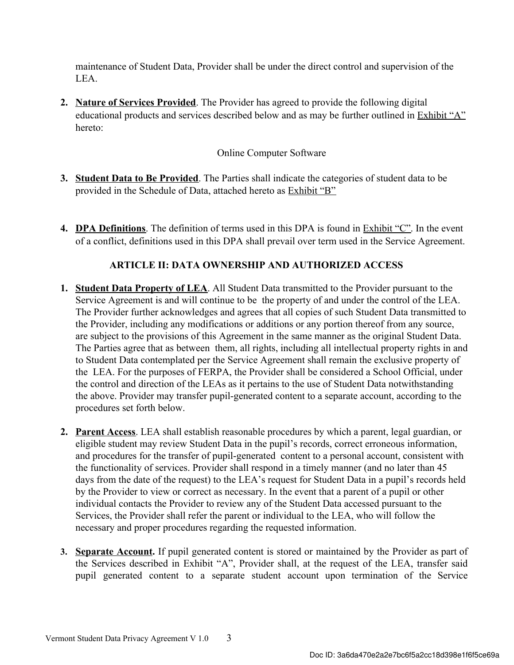maintenance of Student Data, Provider shall be under the direct control and supervision of the LEA.

2. Nature of Services Provided. The Provider has agreed to provide the following digital educational products and services described below and as may be further outlined in Exhibit "A" hereto:

# Online Computer Software

- 3. Student Data to Be Provided. The Parties shall indicate the categories of student data to be provided in the Schedule of Data, attached hereto as Exhibit "B"
- 4. DPA Definitions. The definition of terms used in this DPA is found in Exhibit "C". In the event of a conflict, definitions used in this DPA shall prevail over term used in the Service Agreement.

# ARTICLE II: DATA OWNERSHIP AND AUTHORIZED ACCESS

- 1. Student Data Property of LEA. All Student Data transmitted to the Provider pursuant to the Service Agreement is and will continue to be the property of and under the control of the LEA. The Provider further acknowledges and agrees that all copies of such Student Data transmitted to the Provider, including any modifications or additions or any portion thereof from any source, are subject to the provisions of this Agreement in the same manner as the original Student Data. The Parties agree that as between them, all rights, including all intellectual property rights in and to Student Data contemplated per the Service Agreement shall remain the exclusive property of the LEA. For the purposes of FERPA, the Provider shall be considered a School Official, under the control and direction of the LEAs as it pertains to the use of Student Data notwithstanding the above. Provider may transfer pupil-generated content to a separate account, according to the procedures set forth below.
- 2. Parent Access. LEA shall establish reasonable procedures by which a parent, legal guardian, or eligible student may review Student Data in the pupil's records, correct erroneous information, and procedures for the transfer of pupil-generated content to a personal account, consistent with the functionality of services. Provider shall respond in a timely manner (and no later than 45 days from the date of the request) to the LEA's request for Student Data in a pupil's records held by the Provider to view or correct as necessary. In the event that a parent of a pupil or other individual contacts the Provider to review any of the Student Data accessed pursuant to the Services, the Provider shall refer the parent or individual to the LEA, who will follow the necessary and proper procedures regarding the requested information.
- 3. Separate Account. If pupil generated content is stored or maintained by the Provider as part of the Services described in Exhibit "A", Provider shall, at the request of the LEA, transfer said pupil generated content to a separate student account upon termination of the Service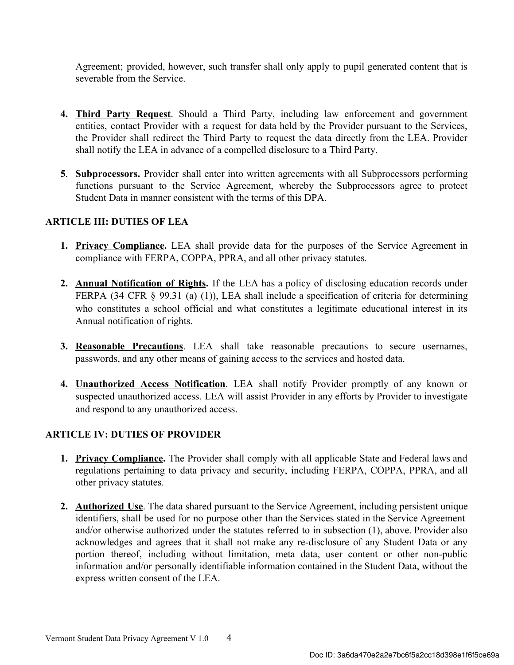Agreement; provided, however, such transfer shall only apply to pupil generated content that is severable from the Service.

- 4. Third Party Request. Should a Third Party, including law enforcement and government entities, contact Provider with a request for data held by the Provider pursuant to the Services, the Provider shall redirect the Third Party to request the data directly from the LEA. Provider shall notify the LEA in advance of a compelled disclosure to a Third Party.
- 5. **Subprocessors.** Provider shall enter into written agreements with all Subprocessors performing functions pursuant to the Service Agreement, whereby the Subprocessors agree to protect Student Data in manner consistent with the terms of this DPA.

# ARTICLE III: DUTIES OF LEA

- 1. Privacy Compliance. LEA shall provide data for the purposes of the Service Agreement in compliance with FERPA, COPPA, PPRA, and all other privacy statutes.
- 2. Annual Notification of Rights. If the LEA has a policy of disclosing education records under FERPA (34 CFR § 99.31 (a) (1)), LEA shall include a specification of criteria for determining who constitutes a school official and what constitutes a legitimate educational interest in its Annual notification of rights.
- 3. Reasonable Precautions. LEA shall take reasonable precautions to secure usernames, passwords, and any other means of gaining access to the services and hosted data.
- 4. Unauthorized Access Notification. LEA shall notify Provider promptly of any known or suspected unauthorized access. LEA will assist Provider in any efforts by Provider to investigate and respond to any unauthorized access.

# ARTICLE IV: DUTIES OF PROVIDER

- 1. Privacy Compliance. The Provider shall comply with all applicable State and Federal laws and regulations pertaining to data privacy and security, including FERPA, COPPA, PPRA, and all other privacy statutes.
- 2. Authorized Use. The data shared pursuant to the Service Agreement, including persistent unique identifiers, shall be used for no purpose other than the Services stated in the Service Agreement and/or otherwise authorized under the statutes referred to in subsection (1), above. Provider also acknowledges and agrees that it shall not make any re-disclosure of any Student Data or any portion thereof, including without limitation, meta data, user content or other non-public information and/or personally identifiable information contained in the Student Data, without the express written consent of the LEA.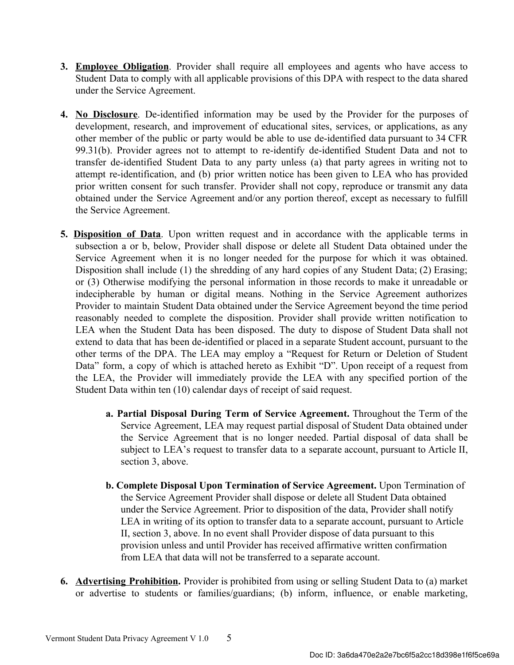- 3. Employee Obligation. Provider shall require all employees and agents who have access to Student Data to comply with all applicable provisions of this DPA with respect to the data shared under the Service Agreement.
- 4. No Disclosure. De-identified information may be used by the Provider for the purposes of development, research, and improvement of educational sites, services, or applications, as any other member of the public or party would be able to use de-identified data pursuant to 34 CFR 99.31(b). Provider agrees not to attempt to re-identify de-identified Student Data and not to transfer de-identified Student Data to any party unless (a) that party agrees in writing not to attempt re-identification, and (b) prior written notice has been given to LEA who has provided prior written consent for such transfer. Provider shall not copy, reproduce or transmit any data obtained under the Service Agreement and/or any portion thereof, except as necessary to fulfill the Service Agreement.
- 5. Disposition of Data. Upon written request and in accordance with the applicable terms in subsection a or b, below, Provider shall dispose or delete all Student Data obtained under the Service Agreement when it is no longer needed for the purpose for which it was obtained. Disposition shall include (1) the shredding of any hard copies of any Student Data; (2) Erasing; or (3) Otherwise modifying the personal information in those records to make it unreadable or indecipherable by human or digital means. Nothing in the Service Agreement authorizes Provider to maintain Student Data obtained under the Service Agreement beyond the time period reasonably needed to complete the disposition. Provider shall provide written notification to LEA when the Student Data has been disposed. The duty to dispose of Student Data shall not extend to data that has been de-identified or placed in a separate Student account, pursuant to the other terms of the DPA. The LEA may employ a "Request for Return or Deletion of Student Data" form, a copy of which is attached hereto as Exhibit "D". Upon receipt of a request from the LEA, the Provider will immediately provide the LEA with any specified portion of the Student Data within ten (10) calendar days of receipt of said request.
	- a. Partial Disposal During Term of Service Agreement. Throughout the Term of the Service Agreement, LEA may request partial disposal of Student Data obtained under the Service Agreement that is no longer needed. Partial disposal of data shall be subject to LEA's request to transfer data to a separate account, pursuant to Article II, section 3, above.
	- b. Complete Disposal Upon Termination of Service Agreement. Upon Termination of the Service Agreement Provider shall dispose or delete all Student Data obtained under the Service Agreement. Prior to disposition of the data, Provider shall notify LEA in writing of its option to transfer data to a separate account, pursuant to Article II, section 3, above. In no event shall Provider dispose of data pursuant to this provision unless and until Provider has received affirmative written confirmation from LEA that data will not be transferred to a separate account.
- 6. Advertising Prohibition. Provider is prohibited from using or selling Student Data to (a) market or advertise to students or families/guardians; (b) inform, influence, or enable marketing,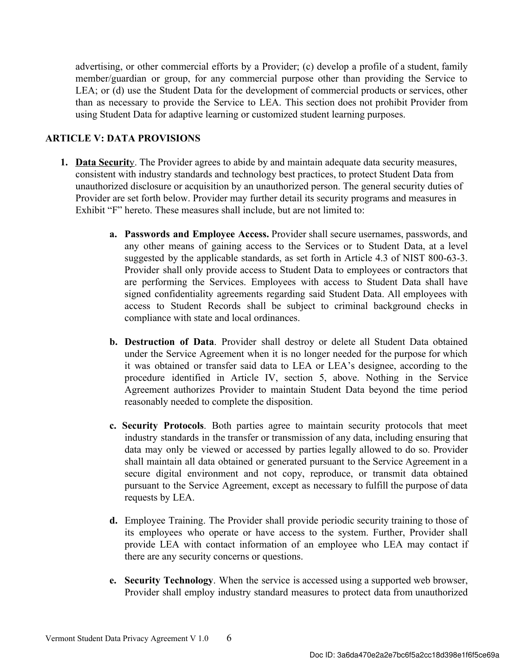advertising, or other commercial efforts by a Provider; (c) develop a profile of a student, family member/guardian or group, for any commercial purpose other than providing the Service to LEA; or (d) use the Student Data for the development of commercial products or services, other than as necessary to provide the Service to LEA. This section does not prohibit Provider from using Student Data for adaptive learning or customized student learning purposes.

## ARTICLE V: DATA PROVISIONS

- 1. Data Security. The Provider agrees to abide by and maintain adequate data security measures, consistent with industry standards and technology best practices, to protect Student Data from unauthorized disclosure or acquisition by an unauthorized person. The general security duties of Provider are set forth below. Provider may further detail its security programs and measures in Exhibit "F" hereto. These measures shall include, but are not limited to:
	- a. Passwords and Employee Access. Provider shall secure usernames, passwords, and any other means of gaining access to the Services or to Student Data, at a level suggested by the applicable standards, as set forth in Article 4.3 of NIST 800-63-3. Provider shall only provide access to Student Data to employees or contractors that are performing the Services. Employees with access to Student Data shall have signed confidentiality agreements regarding said Student Data. All employees with access to Student Records shall be subject to criminal background checks in compliance with state and local ordinances.
	- b. Destruction of Data. Provider shall destroy or delete all Student Data obtained under the Service Agreement when it is no longer needed for the purpose for which it was obtained or transfer said data to LEA or LEA's designee, according to the procedure identified in Article IV, section 5, above. Nothing in the Service Agreement authorizes Provider to maintain Student Data beyond the time period reasonably needed to complete the disposition.
	- c. Security Protocols . Both parties agree to maintain security protocols that meet industry standards in the transfer or transmission of any data, including ensuring that data may only be viewed or accessed by parties legally allowed to do so. Provider shall maintain all data obtained or generated pursuant to the Service Agreement in a secure digital environment and not copy, reproduce, or transmit data obtained pursuant to the Service Agreement, except as necessary to fulfill the purpose of data requests by LEA.
	- d. Employee Training. The Provider shall provide periodic security training to those of its employees who operate or have access to the system. Further, Provider shall provide LEA with contact information of an employee who LEA may contact if there are any security concerns or questions.
	- e. Security Technology. When the service is accessed using a supported web browser, Provider shall employ industry standard measures to protect data from unauthorized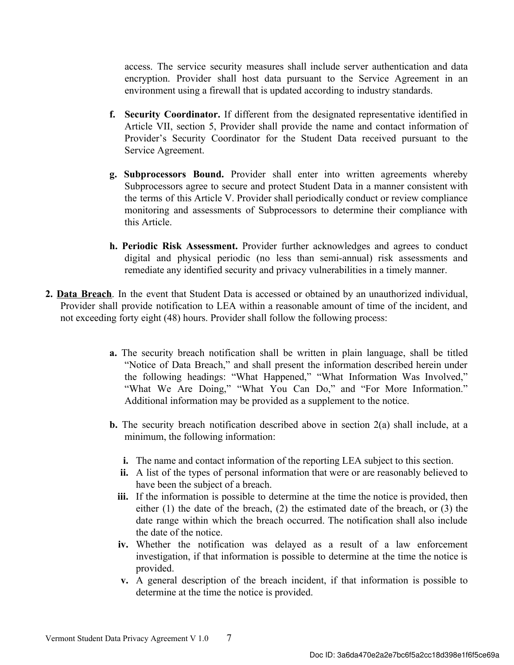access. The service security measures shall include server authentication and data encryption. Provider shall host data pursuant to the Service Agreement in an environment using a firewall that is updated according to industry standards.

- f. Security Coordinator. If different from the designated representative identified in Article VII, section 5, Provider shall provide the name and contact information of Provider's Security Coordinator for the Student Data received pursuant to the Service Agreement.
- g. Subprocessors Bound. Provider shall enter into written agreements whereby Subprocessors agree to secure and protect Student Data in a manner consistent with the terms of this Article V. Provider shall periodically conduct or review compliance monitoring and assessments of Subprocessors to determine their compliance with this Article.
- h. Periodic Risk Assessment. Provider further acknowledges and agrees to conduct digital and physical periodic (no less than semi-annual) risk assessments and remediate any identified security and privacy vulnerabilities in a timely manner.
- 2. Data Breach. In the event that Student Data is accessed or obtained by an unauthorized individual, Provider shall provide notification to LEA within a reasonable amount of time of the incident, and not exceeding forty eight (48) hours. Provider shall follow the following process:
	- a. The security breach notification shall be written in plain language, shall be titled "Notice of Data Breach," and shall present the information described herein under the following headings: "What Happened," "What Information Was Involved," "What We Are Doing," "What You Can Do," and "For More Information." Additional information may be provided as a supplement to the notice.
	- **b.** The security breach notification described above in section  $2(a)$  shall include, at a minimum, the following information:
		- i. The name and contact information of the reporting LEA subject to this section.
		- ii. A list of the types of personal information that were or are reasonably believed to have been the subject of a breach.
		- iii. If the information is possible to determine at the time the notice is provided, then either (1) the date of the breach, (2) the estimated date of the breach, or (3) the date range within which the breach occurred. The notification shall also include the date of the notice.
		- iv. Whether the notification was delayed as a result of a law enforcement investigation, if that information is possible to determine at the time the notice is provided.
		- v. A general description of the breach incident, if that information is possible to determine at the time the notice is provided.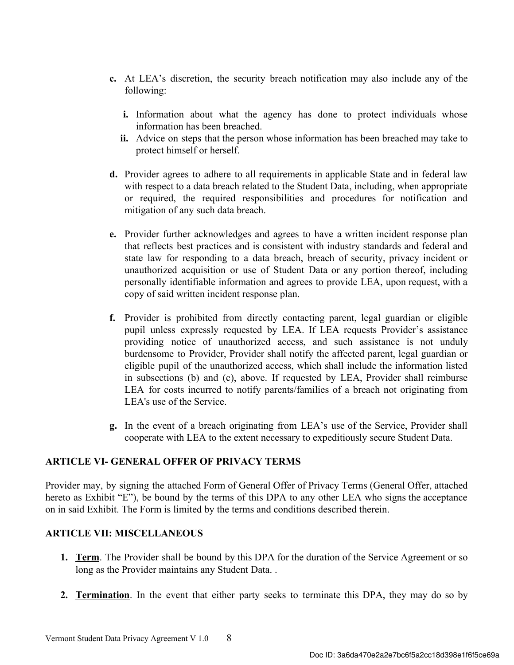- c. At LEA's discretion, the security breach notification may also include any of the following:
	- i. Information about what the agency has done to protect individuals whose information has been breached.
	- ii. Advice on steps that the person whose information has been breached may take to protect himself or herself.
- d. Provider agrees to adhere to all requirements in applicable State and in federal law with respect to a data breach related to the Student Data, including, when appropriate or required, the required responsibilities and procedures for notification and mitigation of any such data breach.
- e. Provider further acknowledges and agrees to have a written incident response plan that reflects best practices and is consistent with industry standards and federal and state law for responding to a data breach, breach of security, privacy incident or unauthorized acquisition or use of Student Data or any portion thereof, including personally identifiable information and agrees to provide LEA, upon request, with a copy of said written incident response plan.
- f. Provider is prohibited from directly contacting parent, legal guardian or eligible pupil unless expressly requested by LEA. If LEA requests Provider's assistance providing notice of unauthorized access, and such assistance is not unduly burdensome to Provider, Provider shall notify the affected parent, legal guardian or eligible pupil of the unauthorized access, which shall include the information listed in subsections (b) and (c), above. If requested by LEA, Provider shall reimburse LEA for costs incurred to notify parents/families of a breach not originating from LEA's use of the Service.
- g. In the event of a breach originating from LEA's use of the Service, Provider shall cooperate with LEA to the extent necessary to expeditiously secure Student Data.

## ARTICLE VI- GENERAL OFFER OF PRIVACY TERMS

Provider may, by signing the attached Form of General Offer of Privacy Terms (General Offer, attached hereto as Exhibit "E"), be bound by the terms of this DPA to any other LEA who signs the acceptance on in said Exhibit. The Form is limited by the terms and conditions described therein.

## ARTICLE VII: MISCELLANEOUS

- 1. Term. The Provider shall be bound by this DPA for the duration of the Service Agreement or so long as the Provider maintains any Student Data. .
- 2. Termination. In the event that either party seeks to terminate this DPA, they may do so by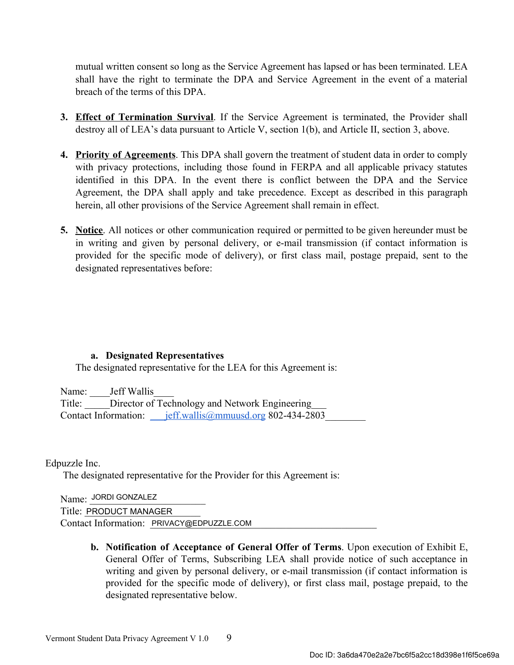mutual written consent so long as the Service Agreement has lapsed or has been terminated. LEA shall have the right to terminate the DPA and Service Agreement in the event of a material breach of the terms of this DPA.

- 3. Effect of Termination Survival. If the Service Agreement is terminated, the Provider shall destroy all of LEA's data pursuant to Article V, section 1(b), and Article II, section 3, above.
- 4. Priority of Agreements. This DPA shall govern the treatment of student data in order to comply with privacy protections, including those found in FERPA and all applicable privacy statutes identified in this DPA. In the event there is conflict between the DPA and the Service Agreement, the DPA shall apply and take precedence. Except as described in this paragraph herein, all other provisions of the Service Agreement shall remain in effect.
- 5. Notice. All notices or other communication required or permitted to be given hereunder must be in writing and given by personal delivery, or e-mail transmission (if contact information is provided for the specific mode of delivery), or first class mail, postage prepaid, sent to the designated representatives before:

## a. Designated Representatives

The designated representative for the LEA for this Agreement is:

Name: Jeff Wallis

Title: Director of Technology and Network Engineering Contact Information: \_\_\_jeff.wallis@mmuusd.org 802-434-2803\_\_\_\_\_\_\_\_

Edpuzzle Inc.

The designated representative for the Provider for this Agreement is:

Name: JORDI GONZALEZ

Title: PRODUCT MANAGER

Contact Information: PRIVACY@EDPUZZLE.COM

b. Notification of Acceptance of General Offer of Terms. Upon execution of Exhibit E, General Offer of Terms, Subscribing LEA shall provide notice of such acceptance in writing and given by personal delivery, or e-mail transmission (if contact information is provided for the specific mode of delivery), or first class mail, postage prepaid, to the designated representative below.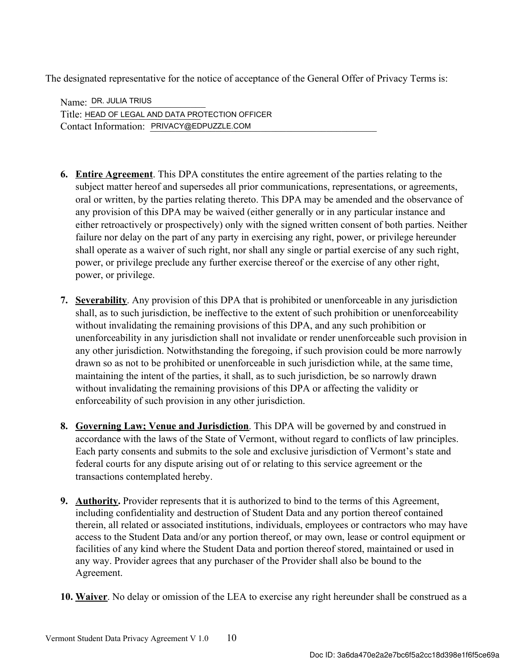The designated representative for the notice of acceptance of the General Offer of Privacy Terms is:

Name: <u>DR. JULIA TRIUS</u> Title: HEAD OF LEGAL AND DATA PROTECTION OFFICER Contact Information: PRIVACY@EDPUZZLE.COM

- 6. Entire Agreement. This DPA constitutes the entire agreement of the parties relating to the subject matter hereof and supersedes all prior communications, representations, or agreements, oral or written, by the parties relating thereto. This DPA may be amended and the observance of any provision of this DPA may be waived (either generally or in any particular instance and either retroactively or prospectively) only with the signed written consent of both parties. Neither failure nor delay on the part of any party in exercising any right, power, or privilege hereunder shall operate as a waiver of such right, nor shall any single or partial exercise of any such right, power, or privilege preclude any further exercise thereof or the exercise of any other right, power, or privilege.
- 7. Severability. Any provision of this DPA that is prohibited or unenforceable in any jurisdiction shall, as to such jurisdiction, be ineffective to the extent of such prohibition or unenforceability without invalidating the remaining provisions of this DPA, and any such prohibition or unenforceability in any jurisdiction shall not invalidate or render unenforceable such provision in any other jurisdiction. Notwithstanding the foregoing, if such provision could be more narrowly drawn so as not to be prohibited or unenforceable in such jurisdiction while, at the same time, maintaining the intent of the parties, it shall, as to such jurisdiction, be so narrowly drawn without invalidating the remaining provisions of this DPA or affecting the validity or enforceability of such provision in any other jurisdiction.
- 8. Governing Law; Venue and Jurisdiction. This DPA will be governed by and construed in accordance with the laws of the State of Vermont, without regard to conflicts of law principles. Each party consents and submits to the sole and exclusive jurisdiction of Vermont's state and federal courts for any dispute arising out of or relating to this service agreement or the transactions contemplated hereby.
- 9. Authority. Provider represents that it is authorized to bind to the terms of this Agreement, including confidentiality and destruction of Student Data and any portion thereof contained therein, all related or associated institutions, individuals, employees or contractors who may have access to the Student Data and/or any portion thereof, or may own, lease or control equipment or facilities of any kind where the Student Data and portion thereof stored, maintained or used in any way. Provider agrees that any purchaser of the Provider shall also be bound to the Agreement.
- 10. Waiver. No delay or omission of the LEA to exercise any right hereunder shall be construed as a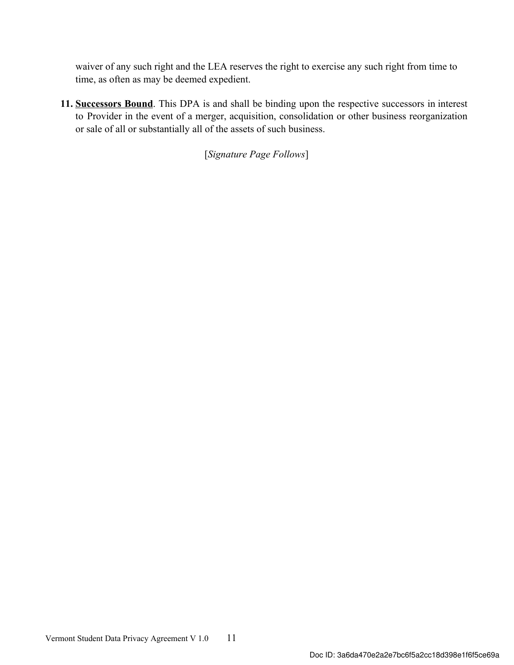waiver of any such right and the LEA reserves the right to exercise any such right from time to time, as often as may be deemed expedient.

11. Successors Bound. This DPA is and shall be binding upon the respective successors in interest to Provider in the event of a merger, acquisition, consolidation or other business reorganization or sale of all or substantially all of the assets of such business.

[Signature Page Follows]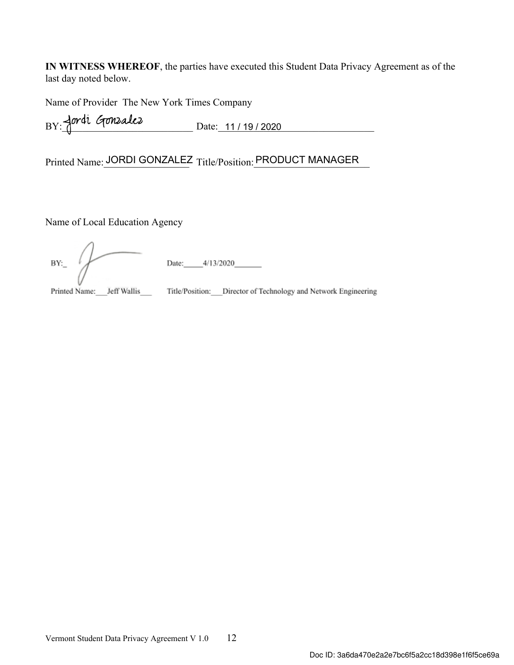IN WITNESS WHEREOF, the parties have executed this Student Data Privacy Agreement as of the last day noted below.

Name of Provider The New York Times Company

 $BY: \overline{A}$ 

Printed Name: JORDI GONZALEZ Title/Position: PRODUCT MANAGER

Name of Local Education Agency

Date:  $-4/13/2020$  $BY:$ 

Printed Name: Jeff Wallis \_\_\_\_\_ Title/Position: \_\_\_ Director of Technology and Network Engineering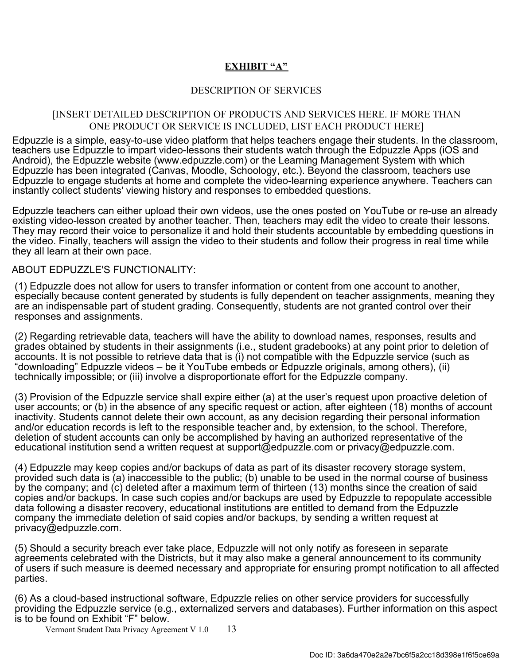## EXHIBIT "A"

## DESCRIPTION OF SERVICES

## [INSERT DETAILED DESCRIPTION OF PRODUCTS AND SERVICES HERE. IF MORE THAN ONE PRODUCT OR SERVICE IS INCLUDED, LIST EACH PRODUCT HERE]

Edpuzzle is a simple, easy-to-use video platform that helps teachers engage their students. In the classroom, teachers use Edpuzzle to impart video-lessons their students watch through the Edpuzzle Apps (iOS and Android), the Edpuzzle website (www.edpuzzle.com) or the Learning Management System with which Edpuzzle has been integrated (Canvas, Moodle, Schoology, etc.). Beyond the classroom, teachers use Edpuzzle to engage students at home and complete the video-learning experience anywhere. Teachers can instantly collect students' viewing history and responses to embedded questions.

Edpuzzle teachers can either upload their own videos, use the ones posted on YouTube or re-use an already existing video-lesson created by another teacher. Then, teachers may edit the video to create their lessons. They may record their voice to personalize it and hold their students accountable by embedding questions in the video. Finally, teachers will assign the video to their students and follow their progress in real time while they all learn at their own pace.

### ABOUT EDPUZZLE'S FUNCTIONALITY:

(1) Edpuzzle does not allow for users to transfer information or content from one account to another, especially because content generated by students is fully dependent on teacher assignments, meaning they are an indispensable part of student grading. Consequently, students are not granted control over their responses and assignments.

(2) Regarding retrievable data, teachers will have the ability to download names, responses, results and grades obtained by students in their assignments (i.e., student gradebooks) at any point prior to deletion of accounts. It is not possible to retrieve data that is (i) not compatible with the Edpuzzle service (such as "downloading" Edpuzzle videos – be it YouTube embeds or Edpuzzle originals, among others), (ii) technically impossible; or (iii) involve a disproportionate effort for the Edpuzzle company.

(3) Provision of the Edpuzzle service shall expire either (a) at the user's request upon proactive deletion of user accounts; or (b) in the absence of any specific request or action, after eighteen (18) months of account inactivity. Students cannot delete their own account, as any decision regarding their personal information and/or education records is left to the responsible teacher and, by extension, to the school. Therefore, deletion of student accounts can only be accomplished by having an authorized representative of the educational institution send a written request at support@edpuzzle.com or privacy@edpuzzle.com.

(4) Edpuzzle may keep copies and/or backups of data as part of its disaster recovery storage system, provided such data is (a) inaccessible to the public; (b) unable to be used in the normal course of business by the company; and (c) deleted after a maximum term of thirteen (13) months since the creation of said copies and/or backups. In case such copies and/or backups are used by Edpuzzle to repopulate accessible data following a disaster recovery, educational institutions are entitled to demand from the Edpuzzle company the immediate deletion of said copies and/or backups, by sending a written request at privacy@edpuzzle.com.

(5) Should a security breach ever take place, Edpuzzle will not only notify as foreseen in separate agreements celebrated with the Districts, but it may also make a general announcement to its community of users if such measure is deemed necessary and appropriate for ensuring prompt notification to all affected parties.

(6) As a cloud-based instructional software, Edpuzzle relies on other service providers for successfully providing the Edpuzzle service (e.g., externalized servers and databases). Further information on this aspect is to be found on Exhibit "F" below.

Vermont Student Data Privacy Agreement V 1.0 13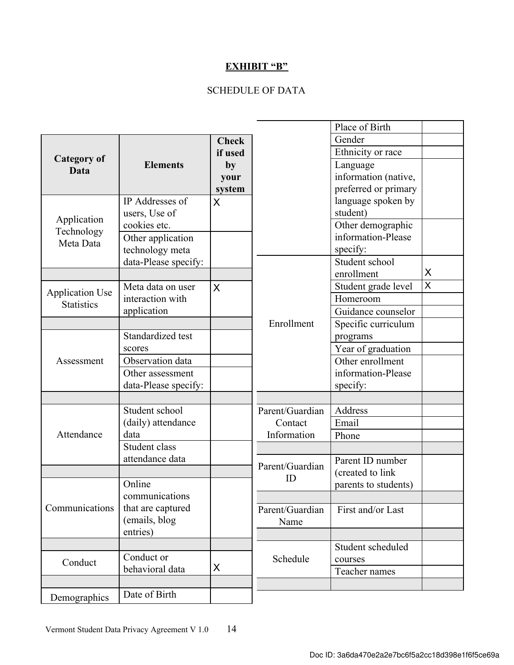# EXHIBIT "B"

# SCHEDULE OF DATA

|                            |                      |              |                 | Place of Birth       |   |
|----------------------------|----------------------|--------------|-----------------|----------------------|---|
|                            |                      | <b>Check</b> |                 | Gender               |   |
| <b>Category of</b><br>Data |                      | if used      |                 | Ethnicity or race    |   |
|                            | <b>Elements</b>      | by           |                 | Language             |   |
|                            |                      | your         |                 | information (native, |   |
|                            |                      | system       |                 | preferred or primary |   |
|                            | IP Addresses of      | X            |                 | language spoken by   |   |
| Application                | users, Use of        |              |                 | student)             |   |
|                            | cookies etc.         |              |                 | Other demographic    |   |
| Technology<br>Meta Data    | Other application    |              |                 | information-Please   |   |
|                            | technology meta      |              |                 | specify:             |   |
|                            | data-Please specify: |              |                 | Student school       |   |
|                            |                      |              |                 | enrollment           | X |
| <b>Application Use</b>     | Meta data on user    | X            |                 | Student grade level  | X |
| <b>Statistics</b>          | interaction with     |              |                 | Homeroom             |   |
|                            | application          |              |                 | Guidance counselor   |   |
|                            |                      |              | Enrollment      | Specific curriculum  |   |
|                            | Standardized test    |              |                 | programs             |   |
|                            | scores               |              |                 | Year of graduation   |   |
| Assessment                 | Observation data     |              |                 | Other enrollment     |   |
|                            | Other assessment     |              |                 | information-Please   |   |
|                            | data-Please specify: |              |                 | specify:             |   |
|                            |                      |              |                 |                      |   |
|                            | Student school       |              | Parent/Guardian | Address              |   |
|                            | (daily) attendance   |              | Contact         | Email                |   |
| Attendance                 | data                 |              | Information     | Phone                |   |
|                            | Student class        |              |                 |                      |   |
|                            | attendance data      |              | Parent/Guardian | Parent ID number     |   |
|                            |                      |              | ID              | (created to link     |   |
| Communications             | Online               |              |                 | parents to students) |   |
|                            | communications       |              |                 |                      |   |
|                            | that are captured    |              | Parent/Guardian | First and/or Last    |   |
|                            | (emails, blog        |              | Name            |                      |   |
|                            | entries)             |              |                 |                      |   |
| Conduct                    |                      |              |                 | Student scheduled    |   |
|                            | Conduct or           |              | Schedule        | courses              |   |
|                            | behavioral data      | X            |                 | Teacher names        |   |
|                            |                      |              |                 |                      |   |
| Demographics               | Date of Birth        |              |                 |                      |   |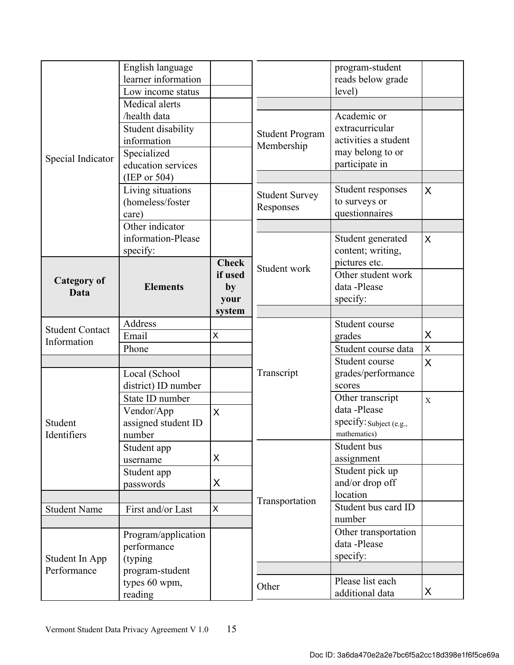|                                       | English language<br>learner information<br>Low income status<br>Medical alerts         |                                                 |                                      | program-student<br>reads below grade<br>level)                                               |             |
|---------------------------------------|----------------------------------------------------------------------------------------|-------------------------------------------------|--------------------------------------|----------------------------------------------------------------------------------------------|-------------|
| Special Indicator                     | /health data<br>Student disability<br>information<br>Specialized<br>education services |                                                 | <b>Student Program</b><br>Membership | Academic or<br>extracurricular<br>activities a student<br>may belong to or<br>participate in |             |
|                                       | (IEP or $504$ )<br>Living situations<br>(homeless/foster                               |                                                 | <b>Student Survey</b><br>Responses   | Student responses<br>to surveys or                                                           | X           |
|                                       | care)<br>Other indicator<br>information-Please<br>specify:                             |                                                 |                                      | questionnaires<br>Student generated<br>content; writing,                                     | X           |
| <b>Category of</b><br>Data            | <b>Elements</b>                                                                        | <b>Check</b><br>if used<br>by<br>your<br>system | Student work                         | pictures etc.<br>Other student work<br>data -Please<br>specify:                              |             |
|                                       | Address                                                                                |                                                 |                                      | Student course                                                                               |             |
| <b>Student Contact</b><br>Information | Email                                                                                  | X                                               |                                      | grades                                                                                       | X           |
|                                       | Phone                                                                                  |                                                 |                                      | Student course data                                                                          | X           |
|                                       |                                                                                        |                                                 |                                      | Student course                                                                               | X           |
| Student<br>Identifiers                | Local (School<br>district) ID number                                                   |                                                 | Transcript                           | grades/performance<br>scores                                                                 |             |
|                                       | State ID number<br>Vendor/App                                                          | X                                               |                                      | Other transcript<br>data -Please                                                             | $\mathbf X$ |
|                                       | assigned student ID<br>number                                                          |                                                 |                                      | specify: Subject (e.g.,<br>mathematics)                                                      |             |
|                                       | Student app<br>username                                                                | X                                               |                                      | Student bus<br>assignment                                                                    |             |
|                                       | Student app<br>passwords                                                               | X                                               |                                      | Student pick up<br>and/or drop off                                                           |             |
|                                       |                                                                                        |                                                 | Transportation                       | location                                                                                     |             |
| <b>Student Name</b>                   | First and/or Last                                                                      | X                                               |                                      | Student bus card ID<br>number                                                                |             |
| Student In App                        | Program/application<br>performance<br>(typing)                                         |                                                 |                                      | Other transportation<br>data -Please<br>specify:                                             |             |
| Performance                           | program-student                                                                        |                                                 |                                      |                                                                                              |             |
|                                       | types 60 wpm,<br>reading                                                               |                                                 | Other                                | Please list each<br>additional data                                                          | X           |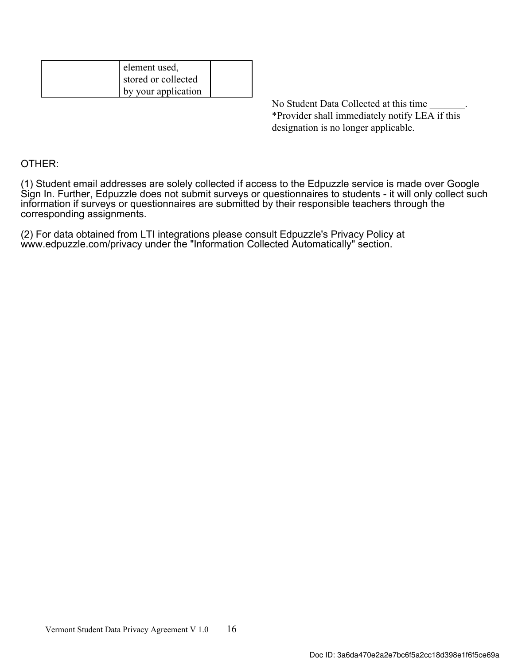| element used,       |  |
|---------------------|--|
| stored or collected |  |
| by your application |  |

No Student Data Collected at this time \*Provider shall immediately notify LEA if this designation is no longer applicable.

## OTHER:

(1) Student email addresses are solely collected if access to the Edpuzzle service is made over Google Sign In. Further, Edpuzzle does not submit surveys or questionnaires to students - it will only collect such information if surveys or questionnaires are submitted by their responsible teachers through the corresponding assignments.

(2) For data obtained from LTI integrations please consult Edpuzzle's Privacy Policy at www.edpuzzle.com/privacy under the "Information Collected Automatically" section.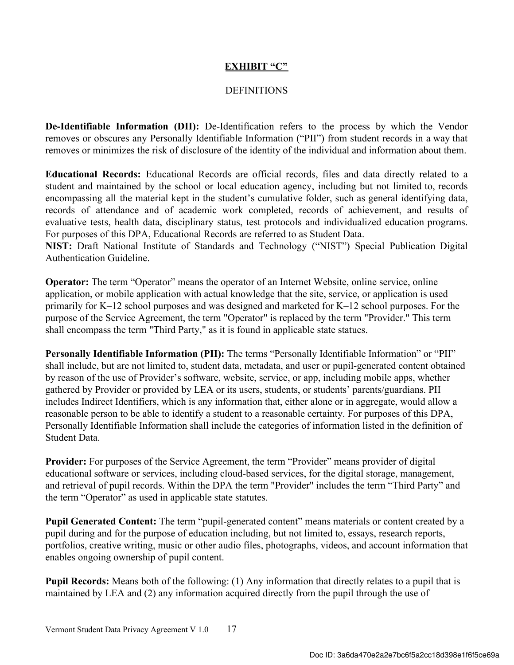## EXHIBIT "C"

## **DEFINITIONS**

De-Identifiable Information (DII): De-Identification refers to the process by which the Vendor removes or obscures any Personally Identifiable Information ("PII") from student records in a way that removes or minimizes the risk of disclosure of the identity of the individual and information about them.

Educational Records: Educational Records are official records, files and data directly related to a student and maintained by the school or local education agency, including but not limited to, records encompassing all the material kept in the student's cumulative folder, such as general identifying data, records of attendance and of academic work completed, records of achievement, and results of evaluative tests, health data, disciplinary status, test protocols and individualized education programs. For purposes of this DPA, Educational Records are referred to as Student Data.

NIST: Draft National Institute of Standards and Technology ("NIST") Special Publication Digital Authentication Guideline.

Operator: The term "Operator" means the operator of an Internet Website, online service, online application, or mobile application with actual knowledge that the site, service, or application is used primarily for K–12 school purposes and was designed and marketed for K–12 school purposes. For the purpose of the Service Agreement, the term "Operator" is replaced by the term "Provider." This term shall encompass the term "Third Party," as it is found in applicable state statues.

Personally Identifiable Information (PII): The terms "Personally Identifiable Information" or "PII" shall include, but are not limited to, student data, metadata, and user or pupil-generated content obtained by reason of the use of Provider's software, website, service, or app, including mobile apps, whether gathered by Provider or provided by LEA or its users, students, or students' parents/guardians. PII includes Indirect Identifiers, which is any information that, either alone or in aggregate, would allow a reasonable person to be able to identify a student to a reasonable certainty. For purposes of this DPA, Personally Identifiable Information shall include the categories of information listed in the definition of Student Data.

Provider: For purposes of the Service Agreement, the term "Provider" means provider of digital educational software or services, including cloud-based services, for the digital storage, management, and retrieval of pupil records. Within the DPA the term "Provider" includes the term "Third Party" and the term "Operator" as used in applicable state statutes.

Pupil Generated Content: The term "pupil-generated content" means materials or content created by a pupil during and for the purpose of education including, but not limited to, essays, research reports, portfolios, creative writing, music or other audio files, photographs, videos, and account information that enables ongoing ownership of pupil content.

Pupil Records: Means both of the following: (1) Any information that directly relates to a pupil that is maintained by LEA and (2) any information acquired directly from the pupil through the use of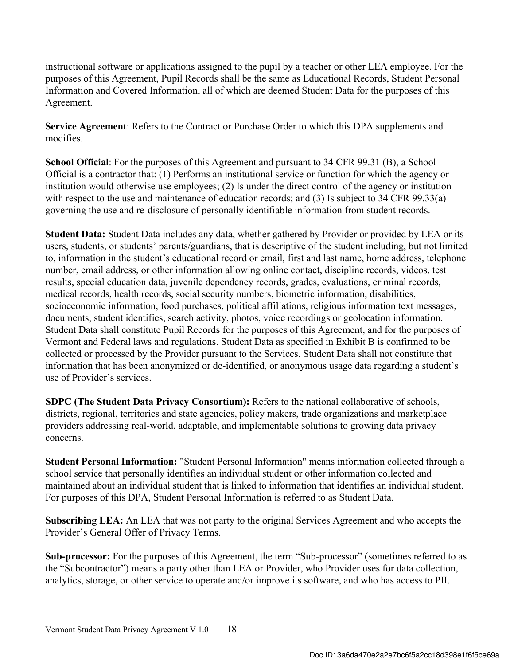instructional software or applications assigned to the pupil by a teacher or other LEA employee. For the purposes of this Agreement, Pupil Records shall be the same as Educational Records, Student Personal Information and Covered Information, all of which are deemed Student Data for the purposes of this Agreement.

Service Agreement: Refers to the Contract or Purchase Order to which this DPA supplements and modifies.

School Official: For the purposes of this Agreement and pursuant to 34 CFR 99.31 (B), a School Official is a contractor that: (1) Performs an institutional service or function for which the agency or institution would otherwise use employees; (2) Is under the direct control of the agency or institution with respect to the use and maintenance of education records; and (3) Is subject to 34 CFR 99.33(a) governing the use and re-disclosure of personally identifiable information from student records.

Student Data: Student Data includes any data, whether gathered by Provider or provided by LEA or its users, students, or students' parents/guardians, that is descriptive of the student including, but not limited to, information in the student's educational record or email, first and last name, home address, telephone number, email address, or other information allowing online contact, discipline records, videos, test results, special education data, juvenile dependency records, grades, evaluations, criminal records, medical records, health records, social security numbers, biometric information, disabilities, socioeconomic information, food purchases, political affiliations, religious information text messages, documents, student identifies, search activity, photos, voice recordings or geolocation information. Student Data shall constitute Pupil Records for the purposes of this Agreement, and for the purposes of Vermont and Federal laws and regulations. Student Data as specified in Exhibit B is confirmed to be collected or processed by the Provider pursuant to the Services. Student Data shall not constitute that information that has been anonymized or de-identified, or anonymous usage data regarding a student's use of Provider's services.

SDPC (The Student Data Privacy Consortium): Refers to the national collaborative of schools, districts, regional, territories and state agencies, policy makers, trade organizations and marketplace providers addressing real-world, adaptable, and implementable solutions to growing data privacy concerns.

Student Personal Information: "Student Personal Information" means information collected through a school service that personally identifies an individual student or other information collected and maintained about an individual student that is linked to information that identifies an individual student. For purposes of this DPA, Student Personal Information is referred to as Student Data.

Subscribing LEA: An LEA that was not party to the original Services Agreement and who accepts the Provider's General Offer of Privacy Terms.

Sub-processor: For the purposes of this Agreement, the term "Sub-processor" (sometimes referred to as the "Subcontractor") means a party other than LEA or Provider, who Provider uses for data collection, analytics, storage, or other service to operate and/or improve its software, and who has access to PII.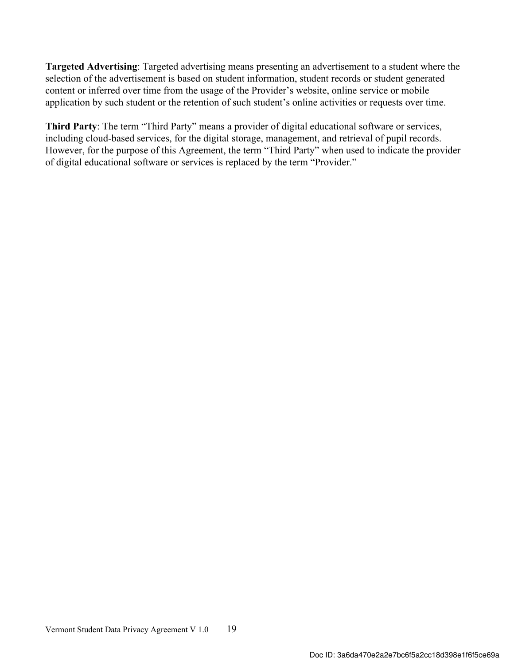Targeted Advertising: Targeted advertising means presenting an advertisement to a student where the selection of the advertisement is based on student information, student records or student generated content or inferred over time from the usage of the Provider's website, online service or mobile application by such student or the retention of such student's online activities or requests over time.

Third Party: The term "Third Party" means a provider of digital educational software or services, including cloud-based services, for the digital storage, management, and retrieval of pupil records. However, for the purpose of this Agreement, the term "Third Party" when used to indicate the provider of digital educational software or services is replaced by the term "Provider."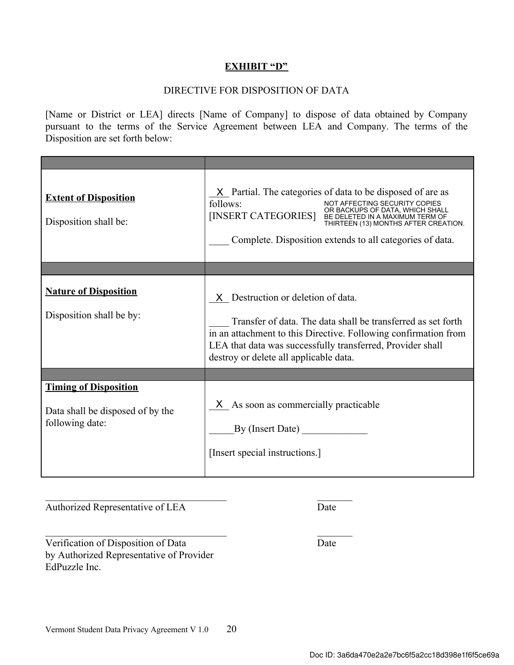## EXHIBIT "D"

## DIRECTIVE FOR DISPOSITION OF DATA

[Name or District or LEA] directs [Name of Company] to dispose of data obtained by Company pursuant to the terms of the Service Agreement between LEA and Company. The terms of the Disposition are set forth below:

| <b>Extent of Disposition</b><br>Disposition shall be:                               | $X$ Partial. The categories of data to be disposed of are as<br>follows:<br>NOT AFFECTING SECURITY COPIES<br>OR BACKUPS OF DATA, WHICH SHALL<br>[INSERT CATEGORIES] BE DELETED IN A MAXIMUM TERM OF<br>THIRTEEN (13) MONTHS AFTER CREATION.<br>Complete. Disposition extends to all categories of data. |
|-------------------------------------------------------------------------------------|---------------------------------------------------------------------------------------------------------------------------------------------------------------------------------------------------------------------------------------------------------------------------------------------------------|
|                                                                                     |                                                                                                                                                                                                                                                                                                         |
| <b>Nature of Disposition</b><br>Disposition shall be by:                            | X Destruction or deletion of data.<br>Transfer of data. The data shall be transferred as set forth<br>in an attachment to this Directive. Following confirmation from<br>LEA that data was successfully transferred, Provider shall<br>destroy or delete all applicable data.                           |
|                                                                                     |                                                                                                                                                                                                                                                                                                         |
| <b>Timing of Disposition</b><br>Data shall be disposed of by the<br>following date: | X As soon as commercially practicable<br>By (Insert Date)<br>[Insert special instructions.]                                                                                                                                                                                                             |

Authorized Representative of LEA Date

Verification of Disposition of Data Date by Authorized Representative of Provider EdPuzzle Inc.

 $\mathcal{L}_\text{max}$  , and the contract of the contract of the contract of the contract of the contract of the contract of the contract of the contract of the contract of the contract of the contract of the contract of the contr

 $\mathcal{L}_\text{max}$  , and the contract of the contract of the contract of the contract of the contract of the contract of the contract of the contract of the contract of the contract of the contract of the contract of the contr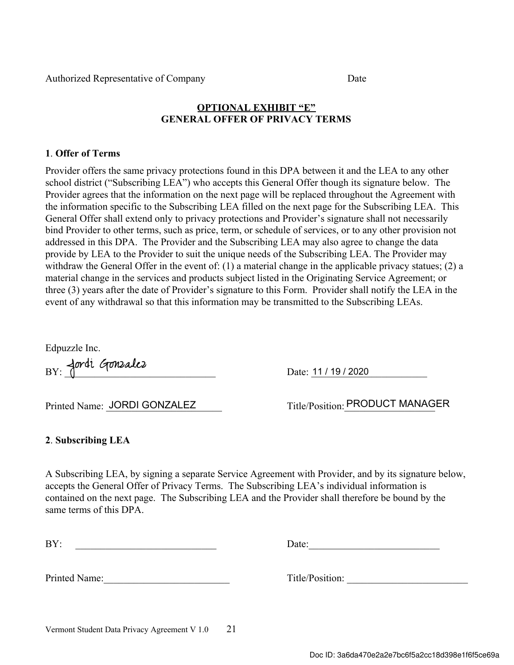# OPTIONAL EXHIBIT "E" GENERAL OFFER OF PRIVACY TERMS

## 1. Offer of Terms

Provider offers the same privacy protections found in this DPA between it and the LEA to any other school district ("Subscribing LEA") who accepts this General Offer though its signature below. The Provider agrees that the information on the next page will be replaced throughout the Agreement with the information specific to the Subscribing LEA filled on the next page for the Subscribing LEA. This General Offer shall extend only to privacy protections and Provider's signature shall not necessarily bind Provider to other terms, such as price, term, or schedule of services, or to any other provision not addressed in this DPA. The Provider and the Subscribing LEA may also agree to change the data provide by LEA to the Provider to suit the unique needs of the Subscribing LEA. The Provider may withdraw the General Offer in the event of: (1) a material change in the applicable privacy statues; (2) a material change in the services and products subject listed in the Originating Service Agreement; or three (3) years after the date of Provider's signature to this Form. Provider shall notify the LEA in the event of any withdrawal so that this information may be transmitted to the Subscribing LEAs.

Edpuzzle Inc.

BY: Jordi Gonzalez

Date: 11 / 19 / 2020

Printed Name: JORDI GONZALEZ

Title/Position: PRODUCT MANAGER

## 2. Subscribing LEA

A Subscribing LEA, by signing a separate Service Agreement with Provider, and by its signature below, accepts the General Offer of Privacy Terms. The Subscribing LEA's individual information is contained on the next page. The Subscribing LEA and the Provider shall therefore be bound by the same terms of this DPA

| $\mathbf{D} \mathbf{V}$<br>DI. |  |
|--------------------------------|--|
|                                |  |

Date:

Printed Name: Title/Position: